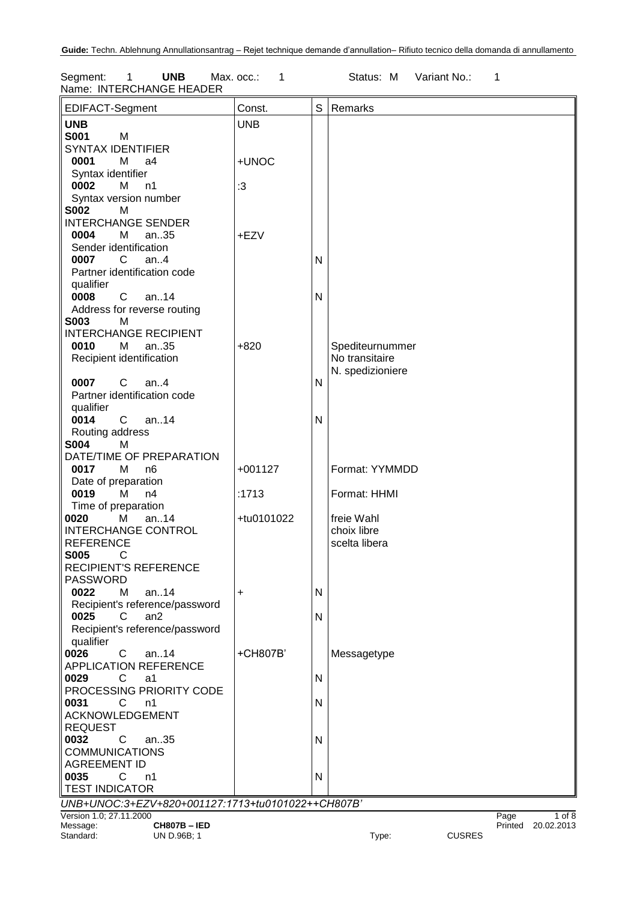Segment: 1 **UNB** Max. occ.: 1 Status: M Variant No.: 1 Name: INTERCHANGE HEADER

| EDIFACT-Segment                                   | Const.     | S            | Remarks          |               |      |                                  |
|---------------------------------------------------|------------|--------------|------------------|---------------|------|----------------------------------|
| <b>UNB</b>                                        | <b>UNB</b> |              |                  |               |      |                                  |
| <b>S001</b><br>M                                  |            |              |                  |               |      |                                  |
| <b>SYNTAX IDENTIFIER</b>                          |            |              |                  |               |      |                                  |
| 0001<br>M<br>a4                                   | +UNOC      |              |                  |               |      |                                  |
| Syntax identifier                                 |            |              |                  |               |      |                                  |
| 0002<br>М<br>n1                                   | :3         |              |                  |               |      |                                  |
| Syntax version number                             |            |              |                  |               |      |                                  |
| <b>S002</b><br>м                                  |            |              |                  |               |      |                                  |
| <b>INTERCHANGE SENDER</b>                         |            |              |                  |               |      |                                  |
|                                                   |            |              |                  |               |      |                                  |
| 0004<br>M<br>an35                                 | +EZV       |              |                  |               |      |                                  |
| Sender identification                             |            |              |                  |               |      |                                  |
| 0007<br>C<br>an. $4$                              |            | N            |                  |               |      |                                  |
| Partner identification code                       |            |              |                  |               |      |                                  |
| qualifier                                         |            |              |                  |               |      |                                  |
| 0008<br>$\mathbf{C}$<br>an14                      |            | $\mathsf{N}$ |                  |               |      |                                  |
| Address for reverse routing                       |            |              |                  |               |      |                                  |
| <b>S003</b><br>M                                  |            |              |                  |               |      |                                  |
| <b>INTERCHANGE RECIPIENT</b>                      |            |              |                  |               |      |                                  |
| 0010<br>М<br>an35                                 | $+820$     |              | Spediteurnummer  |               |      |                                  |
| Recipient identification                          |            |              | No transitaire   |               |      |                                  |
|                                                   |            |              | N. spedizioniere |               |      |                                  |
| $C$ an4<br>0007                                   |            | N            |                  |               |      |                                  |
| Partner identification code                       |            |              |                  |               |      |                                  |
| qualifier                                         |            |              |                  |               |      |                                  |
| $C$ an14<br>0014                                  |            | N            |                  |               |      |                                  |
| Routing address                                   |            |              |                  |               |      |                                  |
| <b>S004</b><br>М                                  |            |              |                  |               |      |                                  |
| DATE/TIME OF PREPARATION                          |            |              |                  |               |      |                                  |
| 0017<br>M<br>n <sub>6</sub>                       | $+001127$  |              | Format: YYMMDD   |               |      |                                  |
| Date of preparation                               |            |              |                  |               |      |                                  |
| 0019<br>М<br>n4                                   | :1713      |              | Format: HHMI     |               |      |                                  |
|                                                   |            |              |                  |               |      |                                  |
| Time of preparation                               |            |              |                  |               |      |                                  |
| an14<br>0020<br>М                                 | +tu0101022 |              | freie Wahl       |               |      |                                  |
| <b>INTERCHANGE CONTROL</b>                        |            |              | choix libre      |               |      |                                  |
| <b>REFERENCE</b>                                  |            |              | scelta libera    |               |      |                                  |
| <b>S005</b><br>C                                  |            |              |                  |               |      |                                  |
| <b>RECIPIENT'S REFERENCE</b>                      |            |              |                  |               |      |                                  |
| <b>PASSWORD</b>                                   |            |              |                  |               |      |                                  |
| 0022<br>М<br>an14                                 | +          | N            |                  |               |      |                                  |
| Recipient's reference/password                    |            |              |                  |               |      |                                  |
| 0025<br>C<br>an2                                  |            | N            |                  |               |      |                                  |
| Recipient's reference/password                    |            |              |                  |               |      |                                  |
| qualifier                                         |            |              |                  |               |      |                                  |
| 0026<br>C<br>an $.14$                             | +CH807B'   |              | Messagetype      |               |      |                                  |
| <b>APPLICATION REFERENCE</b>                      |            |              |                  |               |      |                                  |
| 0029<br>C<br>a1                                   |            | N            |                  |               |      |                                  |
| PROCESSING PRIORITY CODE                          |            |              |                  |               |      |                                  |
| 0031<br>C<br>n1                                   |            | N            |                  |               |      |                                  |
| <b>ACKNOWLEDGEMENT</b>                            |            |              |                  |               |      |                                  |
| <b>REQUEST</b>                                    |            |              |                  |               |      |                                  |
| 0032<br>C<br>an35                                 |            | $\mathsf{N}$ |                  |               |      |                                  |
| <b>COMMUNICATIONS</b>                             |            |              |                  |               |      |                                  |
| <b>AGREEMENT ID</b>                               |            |              |                  |               |      |                                  |
| 0035<br>C.<br>n1                                  |            | N            |                  |               |      |                                  |
| <b>TEST INDICATOR</b>                             |            |              |                  |               |      |                                  |
|                                                   |            |              |                  |               |      |                                  |
| UNB+UNOC:3+EZV+820+001127:1713+tu0101022++CH807B' |            |              |                  |               |      |                                  |
| Version 1.0; 27.11.2000<br><b>CH807B-IED</b>      |            |              |                  |               | Page | $1$ of $8$<br>Printed 20.02.2013 |
| Message:<br>Standard:<br>UN D.96B; 1              |            |              | Type:            | <b>CUSRES</b> |      |                                  |
|                                                   |            |              |                  |               |      |                                  |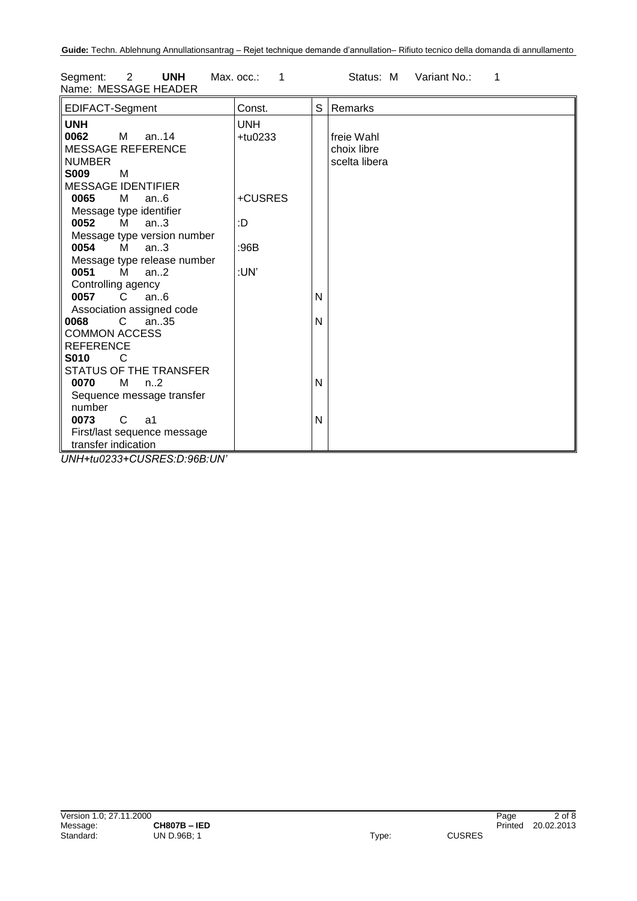| Segment: 2           | UNH | Мах. осс.: |  | Status: M Variant No.: |  |
|----------------------|-----|------------|--|------------------------|--|
| Name: MESSAGE HEADER |     |            |  |                        |  |

| EDIFACT-Segment                                             | Const.     | S | Remarks       |
|-------------------------------------------------------------|------------|---|---------------|
| <b>UNH</b>                                                  | <b>UNH</b> |   |               |
| 0062 M an14                                                 | $+$ tu0233 |   | freie Wahl    |
| <b>MESSAGE REFERENCE</b>                                    |            |   | choix libre   |
| <b>NUMBER</b>                                               |            |   | scelta libera |
| <b>S009</b><br>M                                            |            |   |               |
| <b>MESSAGE IDENTIFIER</b>                                   |            |   |               |
| 0065<br><b>M</b><br>an.6                                    | +CUSRES    |   |               |
| Message type identifier                                     |            |   |               |
| <b>0052</b> M an3                                           | :D         |   |               |
| Message type version number                                 |            |   |               |
| 0054 M<br>an.3                                              | :96B       |   |               |
| Message type release number                                 |            |   |               |
| 0051 M an2                                                  | :UN'       |   |               |
| Controlling agency                                          |            |   |               |
| 0057 C<br>an.6                                              |            | N |               |
| Association assigned code                                   |            |   |               |
| 0068 C an35                                                 |            | N |               |
| <b>COMMON ACCESS</b>                                        |            |   |               |
| <b>REFERENCE</b>                                            |            |   |               |
| <b>S010</b><br>-C                                           |            |   |               |
| STATUS OF THE TRANSFER                                      |            |   |               |
| $M$ n2<br>0070                                              |            | N |               |
| Sequence message transfer                                   |            |   |               |
| number                                                      |            |   |               |
| C a1<br>0073                                                |            | N |               |
| First/last sequence message                                 |            |   |               |
| transfer indication<br>111111111110000101100000000000111111 |            |   |               |

*UNH+tu0233+CUSRES:D:96B:UN'*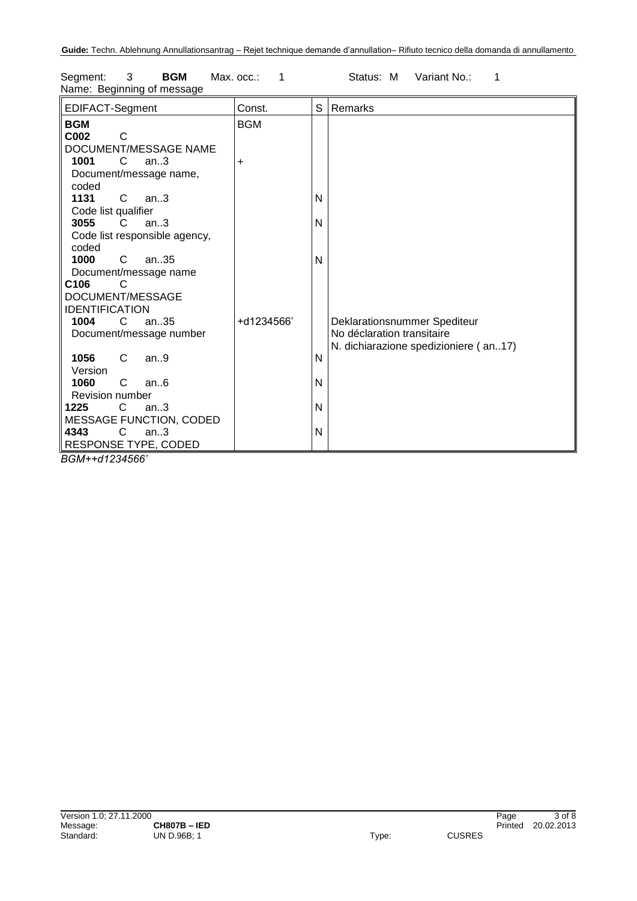| EDIFACT-Segment                     | Const.     | S | Remarks                               |
|-------------------------------------|------------|---|---------------------------------------|
| <b>BGM</b><br>C <sub>002</sub><br>C | <b>BGM</b> |   |                                       |
| DOCUMENT/MESSAGE NAME               |            |   |                                       |
| 1001<br>C<br>an.3                   | $\ddot{}$  |   |                                       |
| Document/message name,              |            |   |                                       |
| coded                               |            |   |                                       |
| 1131<br>$\mathbf{C}$<br>an.3        |            | N |                                       |
| Code list qualifier                 |            |   |                                       |
| 3055<br>an.3<br>C.                  |            | N |                                       |
| Code list responsible agency,       |            |   |                                       |
| coded                               |            |   |                                       |
| 1000<br>C<br>an35                   |            | N |                                       |
| Document/message name               |            |   |                                       |
| C <sub>106</sub><br>C               |            |   |                                       |
| DOCUMENT/MESSAGE                    |            |   |                                       |
| <b>IDENTIFICATION</b>               |            |   |                                       |
| 1004<br>C.<br>an35                  | +d1234566' |   | Deklarationsnummer Spediteur          |
| Document/message number             |            |   | No déclaration transitaire            |
|                                     |            |   | N. dichiarazione spedizioniere (an17) |
| 1056<br>C<br>an.9                   |            | N |                                       |
| Version                             |            |   |                                       |
| 1060<br>C<br>an.6                   |            | N |                                       |
| Revision number                     |            |   |                                       |
| $\mathbf{C}$<br>1225<br>an.3        |            | N |                                       |
| <b>MESSAGE FUNCTION, CODED</b>      |            |   |                                       |
| $\mathsf{C}$<br>4343<br>an.3        |            | N |                                       |
| RESPONSE TYPE, CODED                |            |   |                                       |

Segment: 3 **BGM** Max. occ.: 1 Status: M Variant No.: 1 Name: Beginning of message

*BGM++d1234566'*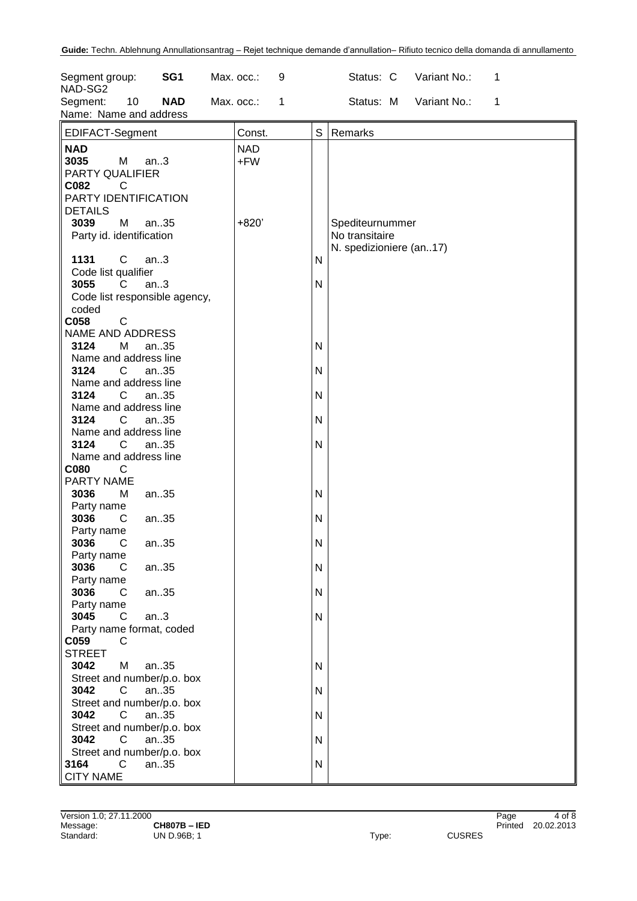| SG <sub>1</sub><br>Segment group:<br>NAD-SG2               | Max. occ.:<br>9 | Variant No.:<br>Status: C<br>1 |
|------------------------------------------------------------|-----------------|--------------------------------|
| <b>NAD</b><br>Segment:<br>10<br>Name: Name and address     | Max. occ.:<br>1 | Variant No.:<br>Status: M<br>1 |
| EDIFACT-Segment                                            | Const.          | S<br>Remarks                   |
| <b>NAD</b>                                                 | <b>NAD</b>      |                                |
| 3035<br>M<br>an.3                                          | $+FW$           |                                |
| PARTY QUALIFIER                                            |                 |                                |
| C082<br>C                                                  |                 |                                |
| PARTY IDENTIFICATION<br><b>DETAILS</b>                     |                 |                                |
| 3039<br>M<br>an35                                          | $+820'$         | Spediteurnummer                |
| Party id. identification                                   |                 | No transitaire                 |
|                                                            |                 | N. spedizioniere (an17)        |
| $\mathsf{C}$<br>1131<br>an.3                               |                 | Ν                              |
| Code list qualifier                                        |                 |                                |
| 3055<br>C<br>an.3                                          |                 | N                              |
| Code list responsible agency,                              |                 |                                |
| coded<br>C058<br>$\mathsf{C}$                              |                 |                                |
| NAME AND ADDRESS                                           |                 |                                |
| 3124<br>М<br>an35                                          |                 | Ν                              |
| Name and address line                                      |                 |                                |
| 3124<br>C<br>an35                                          |                 | Ν                              |
| Name and address line                                      |                 |                                |
| 3124<br>C<br>an35                                          |                 | N                              |
| Name and address line                                      |                 |                                |
| 3124<br>$\mathsf{C}$<br>an35                               |                 | N                              |
| Name and address line                                      |                 |                                |
| 3124<br>C<br>an.35<br>Name and address line                |                 | N                              |
| C080<br>С                                                  |                 |                                |
| PARTY NAME                                                 |                 |                                |
| 3036<br>M<br>an35                                          |                 | Ν                              |
| Party name                                                 |                 |                                |
| 3036<br>C<br>an35                                          |                 | N                              |
| Party name                                                 |                 |                                |
| 3036<br>C<br>an35                                          |                 | $\mathsf{N}$                   |
| Party name                                                 |                 |                                |
| 3036<br>C<br>an35<br>Party name                            |                 | N                              |
| 3036<br>C<br>an35                                          |                 | N                              |
| Party name                                                 |                 |                                |
| 3045<br>an.3<br>C                                          |                 | N                              |
| Party name format, coded                                   |                 |                                |
| C059<br>C                                                  |                 |                                |
| <b>STREET</b>                                              |                 |                                |
| 3042<br>M<br>an35                                          |                 | N                              |
| Street and number/p.o. box<br>3042<br>$\mathsf{C}$<br>an35 |                 | N                              |
| Street and number/p.o. box                                 |                 |                                |
| 3042<br>$\mathsf{C}$<br>an35                               |                 | N                              |
| Street and number/p.o. box                                 |                 |                                |
| 3042<br>$\mathsf{C}$<br>an35                               |                 | N                              |
| Street and number/p.o. box                                 |                 |                                |
| $\mathsf{C}$<br>3164<br>an35                               |                 | N                              |
| <b>CITY NAME</b>                                           |                 |                                |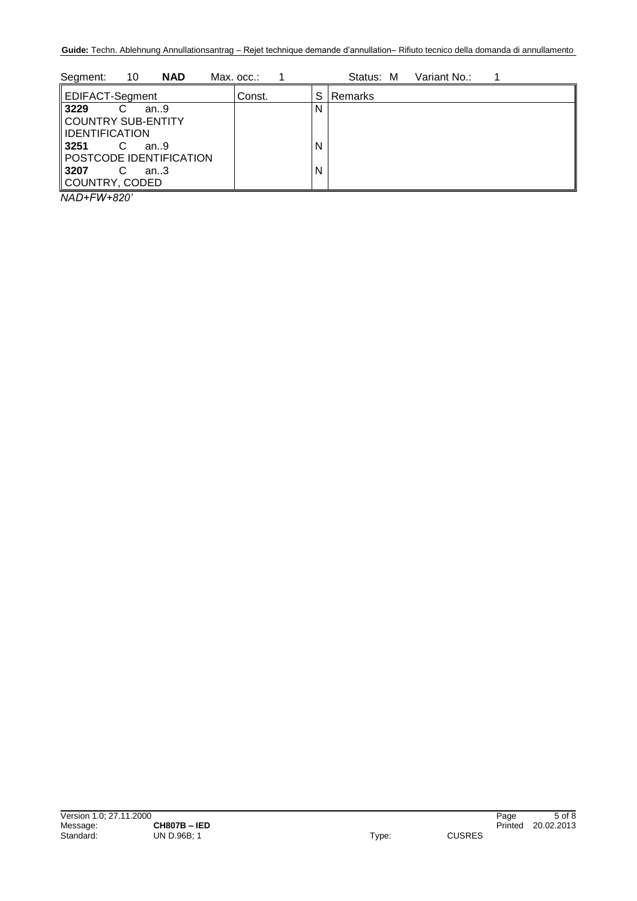| 10<br><b>NAD</b><br>Segment: | Max. occ.: |   | Variant No.:<br>Status: M |
|------------------------------|------------|---|---------------------------|
| EDIFACT-Segment              | Const.     | S | Remarks                   |
| 3229<br>an.9                 |            | N |                           |
| COUNTRY SUB-ENTITY           |            |   |                           |
| IDENTIFICATION               |            |   |                           |
| 3251<br>an.9                 |            | N |                           |
| POSTCODE IDENTIFICATION      |            |   |                           |
| <b>3207</b><br>an.3          |            | N |                           |
| COUNTRY, CODED               |            |   |                           |
|                              |            |   |                           |

*NAD+FW+820'*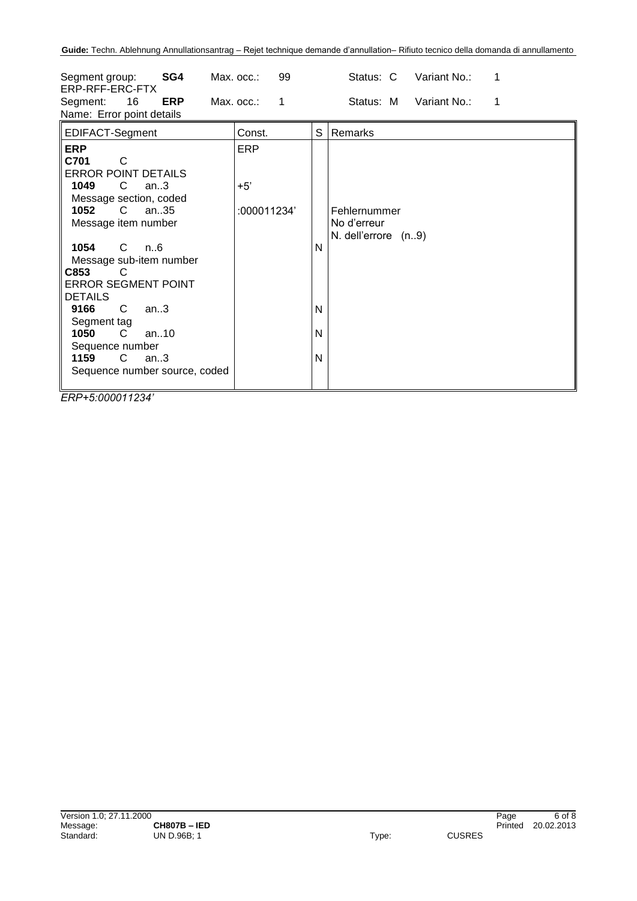| SG4<br>Segment group:<br>ERP-RFF-ERC-FTX<br>16<br><b>ERP</b><br>Segment:<br>Name: Error point details                                                                                                                                                                                                                                                                                                                    | 99<br>Max. occ.:<br>Max. occ.:<br>$\blacksquare$ 1 |                  | Status: C<br>Variant No.:<br>1<br>Status: M<br>Variant No.:<br>1 |
|--------------------------------------------------------------------------------------------------------------------------------------------------------------------------------------------------------------------------------------------------------------------------------------------------------------------------------------------------------------------------------------------------------------------------|----------------------------------------------------|------------------|------------------------------------------------------------------|
| EDIFACT-Segment                                                                                                                                                                                                                                                                                                                                                                                                          | Const.                                             | S                | Remarks                                                          |
| <b>ERP</b><br>C701<br>C<br><b>ERROR POINT DETAILS</b><br>1049<br>C.<br>an.3<br>Message section, coded<br>1052<br>$\mathsf{C}$<br>an35<br>Message item number<br>1054<br>C.<br>n6<br>Message sub-item number<br>C853<br>C.<br><b>ERROR SEGMENT POINT</b><br><b>DETAILS</b><br>9166<br>C<br>an.3<br>Segment tag<br>$\mathsf{C}$<br>1050<br>an.10<br>Sequence number<br>1159<br>C.<br>an.3<br>Sequence number source, coded | <b>ERP</b><br>$+5'$<br>:000011234'                 | N<br>N<br>N<br>N | Fehlernummer<br>No d'erreur<br>N. dell'errore (n9)               |

*ERP+5:000011234'*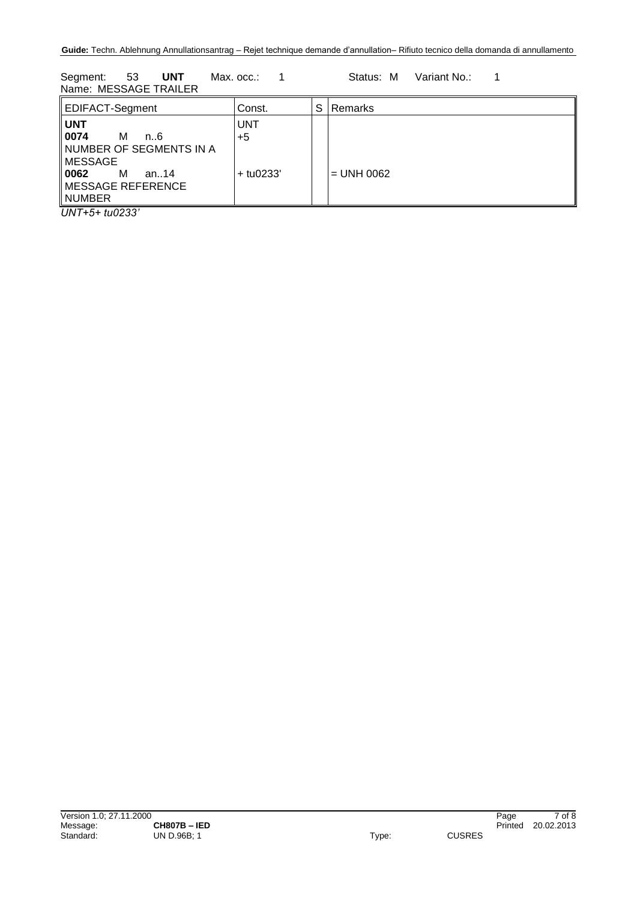Segment: 53 **UNT** Max. occ.: 1 Status: M Variant No.: 1 Name: MESSAGE TRAILER

| EDIFACT-Segment                                                                                                                             | Const.                            | S | Remarks      |
|---------------------------------------------------------------------------------------------------------------------------------------------|-----------------------------------|---|--------------|
| <b>UNT</b><br>0074<br>м<br>n. 6<br>∥NUMBER OF SEGMENTS IN A<br>∥MESSAGE<br>   0062<br>M<br>an14<br>$\parallel$ MESSAGE REFERENCE<br>∥NUMBER | <b>UNT</b><br>$+5$<br>$+$ tu0233' |   | $=$ UNH 0062 |

*UNT+5+ tu0233'*